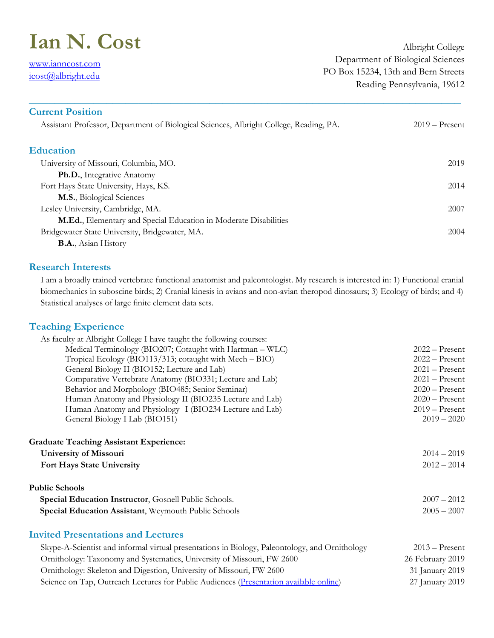# **Ian N. Cost**

[www.ianncost.com](file:///C:/Users/Ian/Dropbox/www.ianncost.com) [icost@albright.edu](mailto:icost@albright.edu)

Albright College Department of Biological Sciences PO Box 15234, 13th and Bern Streets Reading Pennsylvania, 19612

| <b>Current Position</b>                                                                                                                                                                                                                                                                                                            |                  |
|------------------------------------------------------------------------------------------------------------------------------------------------------------------------------------------------------------------------------------------------------------------------------------------------------------------------------------|------------------|
| Assistant Professor, Department of Biological Sciences, Albright College, Reading, PA.                                                                                                                                                                                                                                             | $2019 -$ Present |
| <b>Education</b>                                                                                                                                                                                                                                                                                                                   |                  |
| University of Missouri, Columbia, MO.                                                                                                                                                                                                                                                                                              | 2019             |
| Ph.D., Integrative Anatomy                                                                                                                                                                                                                                                                                                         |                  |
| Fort Hays State University, Hays, KS.                                                                                                                                                                                                                                                                                              | 2014             |
| M.S., Biological Sciences                                                                                                                                                                                                                                                                                                          |                  |
| Lesley University, Cambridge, MA.                                                                                                                                                                                                                                                                                                  | 2007             |
| M.Ed., Elementary and Special Education in Moderate Disabilities                                                                                                                                                                                                                                                                   |                  |
| Bridgewater State University, Bridgewater, MA.                                                                                                                                                                                                                                                                                     | 2004             |
| $\mathbf{D}$ $\mathbf{A}$ $\mathbf{A}$ $\mathbf{A}$ $\mathbf{A}$ $\mathbf{A}$ $\mathbf{A}$ $\mathbf{A}$ $\mathbf{A}$ $\mathbf{A}$ $\mathbf{A}$ $\mathbf{A}$ $\mathbf{A}$ $\mathbf{A}$ $\mathbf{A}$ $\mathbf{A}$ $\mathbf{A}$ $\mathbf{A}$ $\mathbf{A}$ $\mathbf{A}$ $\mathbf{A}$ $\mathbf{A}$ $\mathbf{A}$ $\mathbf{A}$ $\mathbf{$ |                  |

**\_\_\_\_\_\_\_\_\_\_\_\_\_\_\_\_\_\_\_\_\_\_\_\_\_\_\_\_\_\_\_\_\_\_\_\_\_\_\_\_\_\_\_\_\_\_\_\_\_\_\_\_\_\_\_\_\_\_\_\_\_\_\_\_\_\_\_**

**B.A.**, Asian History

### **Research Interests**

I am a broadly trained vertebrate functional anatomist and paleontologist. My research is interested in: 1) Functional cranial biomechanics in suboscine birds; 2) Cranial kinesis in avians and non-avian theropod dinosaurs; 3) Ecology of birds; and 4) Statistical analyses of large finite element data sets.

# **Teaching Experience**

| As faculty at Albright College I have taught the following courses:                            |                  |
|------------------------------------------------------------------------------------------------|------------------|
| Medical Terminology (BIO207; Cotaught with Hartman - WLC)                                      | $2022 -$ Present |
| Tropical Ecology (BIO113/313; cotaught with Mech - BIO)                                        | $2022 -$ Present |
| General Biology II (BIO152; Lecture and Lab)                                                   | $2021 -$ Present |
| Comparative Vertebrate Anatomy (BIO331; Lecture and Lab)                                       | $2021 -$ Present |
| Behavior and Morphology (BIO485; Senior Seminar)                                               | $2020 -$ Present |
| Human Anatomy and Physiology II (BIO235 Lecture and Lab)                                       | $2020 -$ Present |
| Human Anatomy and Physiology I (BIO234 Lecture and Lab)                                        | $2019 -$ Present |
| General Biology I Lab (BIO151)                                                                 | $2019 - 2020$    |
| <b>Graduate Teaching Assistant Experience:</b>                                                 |                  |
| University of Missouri                                                                         | $2014 - 2019$    |
| Fort Hays State University                                                                     | $2012 - 2014$    |
| <b>Public Schools</b>                                                                          |                  |
| Special Education Instructor, Gosnell Public Schools.                                          | $2007 - 2012$    |
| Special Education Assistant, Weymouth Public Schools                                           | $2005 - 2007$    |
| <b>Invited Presentations and Lectures</b>                                                      |                  |
| Skype-A-Scientist and informal virtual presentations in Biology, Paleontology, and Ornithology | $2013 -$ Present |
| Ornithology: Taxonomy and Systematics, University of Missouri, FW 2600                         | 26 February 2019 |
| Ornithology: Skeleton and Digestion, University of Missouri, FW 2600                           | 31 January 2019  |
| Science on Tap, Outreach Lectures for Public Audiences (Presentation available online)         | 27 January 2019  |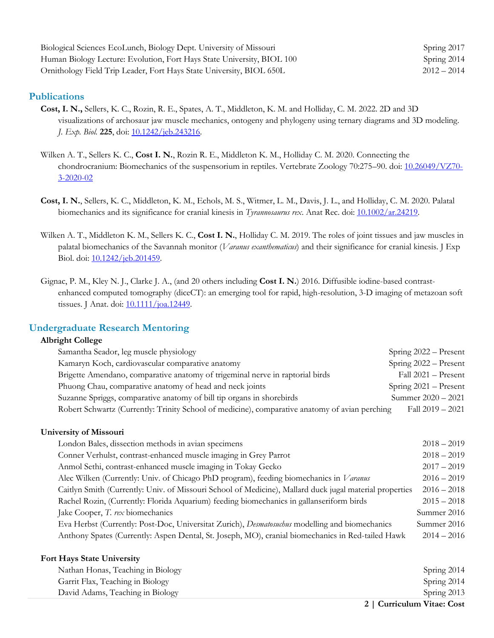| Biological Sciences EcoLunch, Biology Dept. University of Missouri     | Spring $2017$ |
|------------------------------------------------------------------------|---------------|
| Human Biology Lecture: Evolution, Fort Hays State University, BIOL 100 | Spring 2014   |
| Ornithology Field Trip Leader, Fort Hays State University, BIOL 650L   | $2012 - 2014$ |

#### **Publications**

- **Cost, I. N.,** Sellers, K. C., Rozin, R. E., Spates, A. T., Middleton, K. M. and Holliday, C. M. 2022. 2D and 3D visualizations of archosaur jaw muscle mechanics, ontogeny and phylogeny using ternary diagrams and 3D modeling. *J. Exp. Biol.* **225**, doi: [10.1242/jeb.243216.](https://doi.org/10.1242/jeb.243216)
- Wilken A. T., Sellers K. C., **Cost I. N.**, Rozin R. E., Middleton K. M., Holliday C. M. 2020. Connecting the chondrocranium: Biomechanics of the suspensorium in reptiles. Vertebrate Zoology 70:275–90. doi: [10.26049/VZ70-](https://www.senckenberg.de/de/wissenschaft/publikationen/wissenschaftliche-zeitschriften/vertebrate-zoology/archiv/vz-70-3-02/) [3-2020-02](https://www.senckenberg.de/de/wissenschaft/publikationen/wissenschaftliche-zeitschriften/vertebrate-zoology/archiv/vz-70-3-02/)
- **Cost, I. N.**, Sellers, K. C., Middleton, K. M., Echols, M. S., Witmer, L. M., Davis, J. L., and Holliday, C. M. 2020. Palatal biomechanics and its significance for cranial kinesis in *Tyrannosaurus rex*. Anat Rec. doi: [10.1002/ar.24219.](https://doi.org/10.1002/ar.24219)
- Wilken A. T., Middleton K. M., Sellers K. C., **Cost I. N.**, Holliday C. M. 2019. The roles of joint tissues and jaw muscles in palatal biomechanics of the Savannah monitor (*Varanus exanthematicus*) and their significance for cranial kinesis. J Exp Biol. doi: [10.1242/jeb.201459.](https://doi.org/10.1242/jeb.201459)
- Gignac, P. M., Kley N. J., Clarke J. A., (and 20 others including **Cost I. N.**) 2016. Diffusible iodine-based contrastenhanced computed tomography (diceCT): an emerging tool for rapid, high-resolution, 3-D imaging of metazoan soft tissues. J Anat. doi: <u>10.1111/joa.12449</u>.

### **Undergraduate Research Mentoring**

#### **Albright College**

| Samantha Seador, leg muscle physiology                                                         | Spring 2022 – Present   |
|------------------------------------------------------------------------------------------------|-------------------------|
| Kamaryn Koch, cardiovascular comparative anatomy                                               | Spring 2022 - Present   |
| Brigette Amendano, comparative anatomy of trigeminal nerve in raptorial birds                  | Fall 2021 - Present     |
| Phuong Chau, comparative anatomy of head and neck joints                                       | Spring $2021 -$ Present |
| Suzanne Spriggs, comparative anatomy of bill tip organs in shorebirds                          | Summer $2020 - 2021$    |
| Robert Schwartz (Currently: Trinity School of medicine), comparative anatomy of avian perching | Fall $2019 - 2021$      |

#### **University of Missouri**

| London Bales, dissection methods in avian specimens                                                     | $2018 - 2019$ |
|---------------------------------------------------------------------------------------------------------|---------------|
| Conner Verhulst, contrast-enhanced muscle imaging in Grey Parrot                                        | $2018 - 2019$ |
| Anmol Sethi, contrast-enhanced muscle imaging in Tokay Gecko                                            | $2017 - 2019$ |
| Alec Wilken (Currently: Univ. of Chicago PhD program), feeding biomechanics in Varanus                  | $2016 - 2019$ |
| Caitlyn Smith (Currently: Univ. of Missouri School of Medicine), Mallard duck jugal material properties | $2016 - 2018$ |
| Rachel Rozin, (Currently: Florida Aquarium) feeding biomechanics in gallanseriform birds                | $2015 - 2018$ |
| Jake Cooper, T. rex biomechanics                                                                        | Summer 2016   |
| Eva Herbst (Currently: Post-Doc, Universitat Zurich), Desmatosuchus modelling and biomechanics          | Summer 2016   |
| Anthony Spates (Currently: Aspen Dental, St. Joseph, MO), cranial biomechanics in Red-tailed Hawk       | $2014 - 2016$ |
|                                                                                                         |               |

#### **Fort Hays State University**

|                                   | 2   Curriculum Vitae: Cost |
|-----------------------------------|----------------------------|
| David Adams, Teaching in Biology  | Spring 2013                |
| Garrit Flax, Teaching in Biology  | Spring 2014                |
| Nathan Honas, Teaching in Biology | Spring 2014                |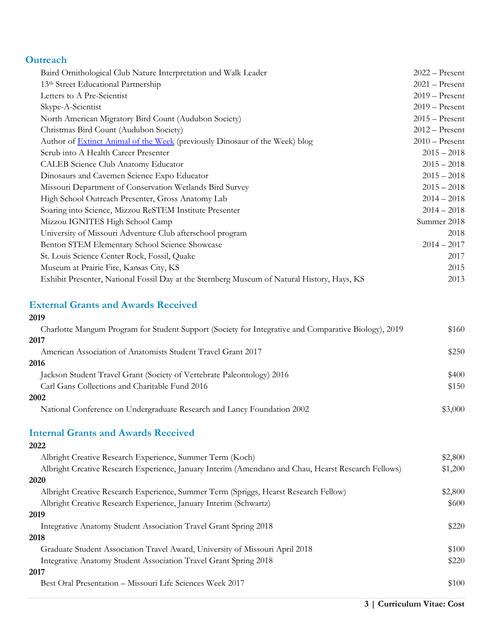# **Outreach**

| 13th Street Educational Partnership<br>$2021 -$ Present<br>Letters to A Pre-Scientist<br>$2019 -$ Present<br>Skype-A-Scientist<br>$2019 -$ Present<br>$2015 -$ Present<br>North American Migratory Bird Count (Audubon Society)<br>Christmas Bird Count (Audubon Society)<br>$2012 -$ Present<br>$2010$ – Present<br>Author of <b>Extinct Animal of the Week</b> (previously Dinosaur of the Week) blog<br>Scrub into A Health Career Presenter<br>$2015 - 2018$<br>CALEB Science Club Anatomy Educator<br>$2015 - 2018$<br>Dinosaurs and Cavemen Science Expo Educator<br>$2015 - 2018$<br>Missouri Department of Conservation Wetlands Bird Survey<br>$2015 - 2018$<br>High School Outreach Presenter, Gross Anatomy Lab<br>$2014 - 2018$<br>$2014 - 2018$<br>Soaring into Science, Mizzou ReSTEM Institute Presenter<br>Mizzou IGNITES High School Camp<br>Summer 2018<br>University of Missouri Adventure Club afterschool program<br>2018<br>$2014 - 2017$<br>Benton STEM Elementary School Science Showcase<br>St. Louis Science Center Rock, Fossil, Quake<br>2017<br>2015<br>Museum at Prairie Fire, Kansas City, KS<br>Exhibit Presenter, National Fossil Day at the Sternberg Museum of Natural History, Hays, KS<br>2013 | Baird Ornithological Club Nature Interpretation and Walk Leader | $2022 -$ Present |
|-------------------------------------------------------------------------------------------------------------------------------------------------------------------------------------------------------------------------------------------------------------------------------------------------------------------------------------------------------------------------------------------------------------------------------------------------------------------------------------------------------------------------------------------------------------------------------------------------------------------------------------------------------------------------------------------------------------------------------------------------------------------------------------------------------------------------------------------------------------------------------------------------------------------------------------------------------------------------------------------------------------------------------------------------------------------------------------------------------------------------------------------------------------------------------------------------------------------------------------|-----------------------------------------------------------------|------------------|
|                                                                                                                                                                                                                                                                                                                                                                                                                                                                                                                                                                                                                                                                                                                                                                                                                                                                                                                                                                                                                                                                                                                                                                                                                                     |                                                                 |                  |
|                                                                                                                                                                                                                                                                                                                                                                                                                                                                                                                                                                                                                                                                                                                                                                                                                                                                                                                                                                                                                                                                                                                                                                                                                                     |                                                                 |                  |
|                                                                                                                                                                                                                                                                                                                                                                                                                                                                                                                                                                                                                                                                                                                                                                                                                                                                                                                                                                                                                                                                                                                                                                                                                                     |                                                                 |                  |
|                                                                                                                                                                                                                                                                                                                                                                                                                                                                                                                                                                                                                                                                                                                                                                                                                                                                                                                                                                                                                                                                                                                                                                                                                                     |                                                                 |                  |
|                                                                                                                                                                                                                                                                                                                                                                                                                                                                                                                                                                                                                                                                                                                                                                                                                                                                                                                                                                                                                                                                                                                                                                                                                                     |                                                                 |                  |
|                                                                                                                                                                                                                                                                                                                                                                                                                                                                                                                                                                                                                                                                                                                                                                                                                                                                                                                                                                                                                                                                                                                                                                                                                                     |                                                                 |                  |
|                                                                                                                                                                                                                                                                                                                                                                                                                                                                                                                                                                                                                                                                                                                                                                                                                                                                                                                                                                                                                                                                                                                                                                                                                                     |                                                                 |                  |
|                                                                                                                                                                                                                                                                                                                                                                                                                                                                                                                                                                                                                                                                                                                                                                                                                                                                                                                                                                                                                                                                                                                                                                                                                                     |                                                                 |                  |
|                                                                                                                                                                                                                                                                                                                                                                                                                                                                                                                                                                                                                                                                                                                                                                                                                                                                                                                                                                                                                                                                                                                                                                                                                                     |                                                                 |                  |
|                                                                                                                                                                                                                                                                                                                                                                                                                                                                                                                                                                                                                                                                                                                                                                                                                                                                                                                                                                                                                                                                                                                                                                                                                                     |                                                                 |                  |
|                                                                                                                                                                                                                                                                                                                                                                                                                                                                                                                                                                                                                                                                                                                                                                                                                                                                                                                                                                                                                                                                                                                                                                                                                                     |                                                                 |                  |
|                                                                                                                                                                                                                                                                                                                                                                                                                                                                                                                                                                                                                                                                                                                                                                                                                                                                                                                                                                                                                                                                                                                                                                                                                                     |                                                                 |                  |
|                                                                                                                                                                                                                                                                                                                                                                                                                                                                                                                                                                                                                                                                                                                                                                                                                                                                                                                                                                                                                                                                                                                                                                                                                                     |                                                                 |                  |
|                                                                                                                                                                                                                                                                                                                                                                                                                                                                                                                                                                                                                                                                                                                                                                                                                                                                                                                                                                                                                                                                                                                                                                                                                                     |                                                                 |                  |
|                                                                                                                                                                                                                                                                                                                                                                                                                                                                                                                                                                                                                                                                                                                                                                                                                                                                                                                                                                                                                                                                                                                                                                                                                                     |                                                                 |                  |
|                                                                                                                                                                                                                                                                                                                                                                                                                                                                                                                                                                                                                                                                                                                                                                                                                                                                                                                                                                                                                                                                                                                                                                                                                                     |                                                                 |                  |
|                                                                                                                                                                                                                                                                                                                                                                                                                                                                                                                                                                                                                                                                                                                                                                                                                                                                                                                                                                                                                                                                                                                                                                                                                                     |                                                                 |                  |
|                                                                                                                                                                                                                                                                                                                                                                                                                                                                                                                                                                                                                                                                                                                                                                                                                                                                                                                                                                                                                                                                                                                                                                                                                                     |                                                                 |                  |

# **External Grants and Awards Received 2019**

| Charlotte Mangum Program for Student Support (Society for Integrative and Comparative Biology), 2019 | \$160   |
|------------------------------------------------------------------------------------------------------|---------|
| 2017                                                                                                 |         |
| American Association of Anatomists Student Travel Grant 2017                                         | \$250   |
| 2016                                                                                                 |         |
| Jackson Student Travel Grant (Society of Vertebrate Paleontology) 2016                               | \$400   |
| Carl Gans Collections and Charitable Fund 2016                                                       | \$150   |
| 2002                                                                                                 |         |
| National Conference on Undergraduate Research and Lancy Foundation 2002                              | \$3,000 |

# **Internal Grants and Awards Received**

#### **2022**

| Albright Creative Research Experience, Summer Term (Koch)                                           | \$2,800 |
|-----------------------------------------------------------------------------------------------------|---------|
| Albright Creative Research Experience, January Interim (Amendano and Chau, Hearst Research Fellows) | \$1,200 |
| 2020                                                                                                |         |
| Albright Creative Research Experience, Summer Term (Spriggs, Hearst Research Fellow)                | \$2,800 |
| Albright Creative Research Experience, January Interim (Schwartz)                                   | \$600   |
| 2019                                                                                                |         |
| Integrative Anatomy Student Association Travel Grant Spring 2018                                    | \$220   |
| 2018                                                                                                |         |
| Graduate Student Association Travel Award, University of Missouri April 2018                        | \$100   |
| Integrative Anatomy Student Association Travel Grant Spring 2018                                    | \$220   |
| 2017                                                                                                |         |
| Best Oral Presentation – Missouri Life Sciences Week 2017                                           | \$100   |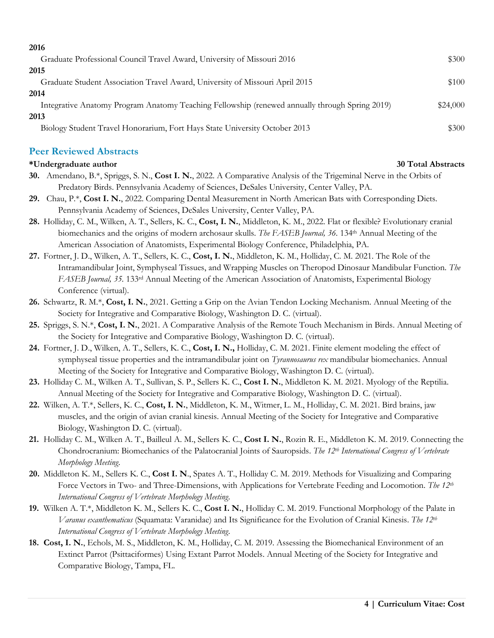| 2016                                                                                           |          |
|------------------------------------------------------------------------------------------------|----------|
| Graduate Professional Council Travel Award, University of Missouri 2016                        | \$300    |
| 2015                                                                                           |          |
| Graduate Student Association Travel Award, University of Missouri April 2015                   | \$100    |
| 2014                                                                                           |          |
| Integrative Anatomy Program Anatomy Teaching Fellowship (renewed annually through Spring 2019) | \$24,000 |
| 2013                                                                                           |          |
| Biology Student Travel Honorarium, Fort Hays State University October 2013                     | \$300    |

## **Peer Reviewed Abstracts**

#### **\*Undergraduate author 30 Total Abstracts**

- **30.** Amendano, B.\*, Spriggs, S. N., **Cost I. N.**, 2022. A Comparative Analysis of the Trigeminal Nerve in the Orbits of Predatory Birds. Pennsylvania Academy of Sciences, DeSales University, Center Valley, PA.
- **29.** Chau, P.\*, **Cost I. N.**, 2022. Comparing Dental Measurement in North American Bats with Corresponding Diets. Pennsylvania Academy of Sciences, DeSales University, Center Valley, PA.
- **28.** Holliday, C. M., Wilken, A. T., Sellers, K. C., **Cost, I. N.**, Middleton, K. M., 2022. Flat or flexible? Evolutionary cranial biomechanics and the origins of modern archosaur skulls. *The FASEB Journal, 36.* 134th Annual Meeting of the American Association of Anatomists, Experimental Biology Conference, Philadelphia, PA.
- **27.** Fortner, J. D., Wilken, A. T., Sellers, K. C., **Cost, I. N.**, Middleton, K. M., Holliday, C. M. 2021. The Role of the Intramandibular Joint, Symphyseal Tissues, and Wrapping Muscles on Theropod Dinosaur Mandibular Function. *The FASEB Journal, 35.* 133rd Annual Meeting of the American Association of Anatomists, Experimental Biology Conference (virtual).
- **26.** Schwartz, R. M.\*, **Cost, I. N.**, 2021. Getting a Grip on the Avian Tendon Locking Mechanism. Annual Meeting of the Society for Integrative and Comparative Biology, Washington D. C. (virtual).
- **25.** Spriggs, S. N.\*, **Cost, I. N.**, 2021. A Comparative Analysis of the Remote Touch Mechanism in Birds. Annual Meeting of the Society for Integrative and Comparative Biology, Washington D. C. (virtual).
- **24.** Fortner, J. D., Wilken, A. T., Sellers, K. C., **Cost, I. N.,** Holliday, C. M. 2021. Finite element modeling the effect of symphyseal tissue properties and the intramandibular joint on *Tyrannosaurus rex* mandibular biomechanics. Annual Meeting of the Society for Integrative and Comparative Biology, Washington D. C. (virtual).
- **23.** Holliday C. M., Wilken A. T., Sullivan, S. P., Sellers K. C., **Cost I. N.**, Middleton K. M. 2021. Myology of the Reptilia. Annual Meeting of the Society for Integrative and Comparative Biology, Washington D. C. (virtual).
- **22.** Wilken, A. T.\*, Sellers, K. C., **Cost, I. N.**, Middleton, K. M., Witmer, L. M., Holliday, C. M. 2021. Bird brains, jaw muscles, and the origin of avian cranial kinesis. Annual Meeting of the Society for Integrative and Comparative Biology, Washington D. C. (virtual).
- **21.** Holliday C. M., Wilken A. T., Bailleul A. M., Sellers K. C., **Cost I. N.**, Rozin R. E., Middleton K. M. 2019. Connecting the Chondrocranium: Biomechanics of the Palatocranial Joints of Sauropsids. *The 12th International Congress of Vertebrate Morphology Meeting*.
- **20.** Middleton K. M., Sellers K. C., **Cost I. N**., Spates A. T., Holliday C. M. 2019. Methods for Visualizing and Comparing Force Vectors in Two- and Three-Dimensions, with Applications for Vertebrate Feeding and Locomotion. *The 12th International Congress of Vertebrate Morphology Meeting*.
- **19.** Wilken A. T.\*, Middleton K. M., Sellers K. C., **Cost I. N.**, Holliday C. M. 2019. Functional Morphology of the Palate in *Varanus exanthematicus* (Squamata: Varanidae) and Its Significance for the Evolution of Cranial Kinesis. *The 12th International Congress of Vertebrate Morphology Meeting*.
- **18. Cost, I. N.**, Echols, M. S., Middleton, K. M., Holliday, C. M. 2019. Assessing the Biomechanical Environment of an Extinct Parrot (Psittaciformes) Using Extant Parrot Models. Annual Meeting of the Society for Integrative and Comparative Biology, Tampa, FL.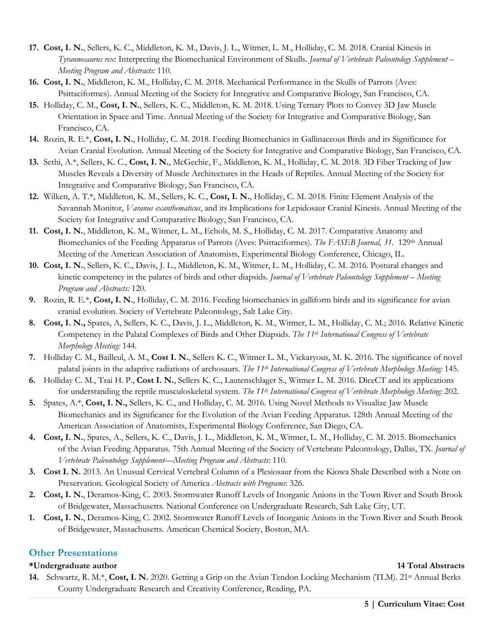- **17. Cost, I. N.**, Sellers, K. C., Middleton, K. M., Davis, J. L., Witmer, L. M., Holliday, C. M. 2018. Cranial Kinesis in *Tyrannosaurus rex*: Interpreting the Biomechanical Environment of Skulls. *Journal of Vertebrate Paleontology Supplement – Meeting Program and Abstracts:* 110.
- **16. Cost, I. N.**, Middleton, K. M., Holliday, C. M. 2018. Mechanical Performance in the Skulls of Parrots (Aves: Psittaciformes). Annual Meeting of the Society for Integrative and Comparative Biology, San Francisco, CA.
- **15.** Holliday, C. M., **Cost, I. N.**, Sellers, K. C., Middleton, K. M. 2018. Using Ternary Plots to Convey 3D Jaw Muscle Orientation in Space and Time. Annual Meeting of the Society for Integrative and Comparative Biology, San Francisco, CA.
- **14.** Rozin, R. E.\*, **Cost, I. N.**, Holliday, C. M. 2018. Feeding Biomechanics in Gallinaceous Birds and its Significance for Avian Cranial Evolution. Annual Meeting of the Society for Integrative and Comparative Biology, San Francisco, CA.
- **13.** Sethi, A.\*, Sellers, K. C., **Cost, I. N.**, McGechie, F., Middleton, K. M., Holliday, C. M. 2018. 3D Fiber Tracking of Jaw Muscles Reveals a Diversity of Muscle Architectures in the Heads of Reptiles. Annual Meeting of the Society for Integrative and Comparative Biology, San Francisco, CA.
- **12.** Wilken, A. T.\*, Middleton, K. M., Sellers, K. C., **Cost, I. N.**, Holliday, C. M. 2018. Finite Element Analysis of the Savannah Monitor, *Varanus exanthematicus*, and its Implications for Lepidosaur Cranial Kinesis. Annual Meeting of the Society for Integrative and Comparative Biology, San Francisco, CA.
- **11. Cost, I. N.**, Middleton, K. M., Witmer, L. M., Echols, M. S., Holliday, C. M. 2017. Comparative Anatomy and Biomechanics of the Feeding Apparatus of Parrots (Aves: Psittaciformes). *The FASEB Journal, 31.* 129th Annual Meeting of the American Association of Anatomists, Experimental Biology Conference, Chicago, IL.
- **10. Cost, I. N.**, Sellers, K. C., Davis, J. L., Middleton, K. M., Witmer, L. M., Holliday, C. M. 2016. Postural changes and kinetic competency in the palates of birds and other diapsids. *Journal of Vertebrate Paleontology Supplement – Meeting Program and Abstracts:* 120.
- **9.** Rozin, R. E.\*, **Cost, I. N.**, Holliday, C. M. 2016. Feeding biomechanics in galliform birds and its significance for avian cranial evolution. Society of Vertebrate Paleontology, Salt Lake City.
- **8. Cost, I. N.,** Spates, A, Sellers, K. C., Davis, J. L., Middleton, K. M., Witmer, L. M., Holliday, C. M.; 2016. Relative Kinetic Competency in the Palatal Complexes of Birds and Other Diapsids. *The 11th International Congress of Vertebrate Morphology Meeting:* 144.
- **7.** Holliday C. M., Bailleul, A. M., **Cost I. N.**, Sellers K. C., Witmer L. M., Vickaryous, M. K. 2016. The significance of novel palatal joints in the adaptive radiations of archosaurs. *The 11th International Congress of Vertebrate Morphology Meeting:* 145.
- **6.** Holliday C. M., Tsai H. P., **Cost I. N.**, Sellers K. C., Lautenschlager S., Witmer L. M. 2016. DiceCT and its applications for understanding the reptile musculoskeletal system. *The 11th International Congress of Vertebrate Morphology Meeting:* 202.
- **5.** Spates, A.\*, **Cost, I. N.,** Sellers, K. C., and Holliday, C. M. 2016. Using Novel Methods to Visualize Jaw Muscle Biomechanics and its Significance for the Evolution of the Avian Feeding Apparatus. 128th Annual Meeting of the American Association of Anatomists, Experimental Biology Conference, San Diego, CA.
- **4. Cost, I. N.**, Spates, A., Sellers, K. C., Davis, J. L., Middleton, K. M., Witmer, L. M., Holliday, C. M. 2015. Biomechanics of the Avian Feeding Apparatus. 75th Annual Meeting of the Society of Vertebrate Paleontology, Dallas, TX. *Journal of Vertebrate Paleontology Supplement—Meeting Program and Abstracts:* 110.
- **3. Cost I. N.** 2013. An Unusual Cervical Vertebral Column of a Plesiosaur from the Kiowa Shale Described with a Note on Preservation. Geological Society of America *Abstracts with Programs*: 326.
- **2. Cost, I. N.**, Deramos-King, C. 2003. Stormwater Runoff Levels of Inorganic Anions in the Town River and South Brook of Bridgewater, Massachusetts. National Conference on Undergraduate Research, Salt Lake City, UT.
- **1. Cost, I. N.**, Deramos-King, C. 2002. Stormwater Runoff Levels of Inorganic Anions in the Town River and South Brook of Bridgewater, Massachusetts. American Chemical Society, Boston, MA.

### **Other Presentations**

#### **\*Undergraduate author 14 Total Abstracts**

**14.** Schwartz, R. M.\*, **Cost, I. N.** 2020. Getting a Grip on the Avian Tendon Locking Mechanism (TLM). 21st Annual Berks County Undergraduate Research and Creativity Conference, Reading, PA.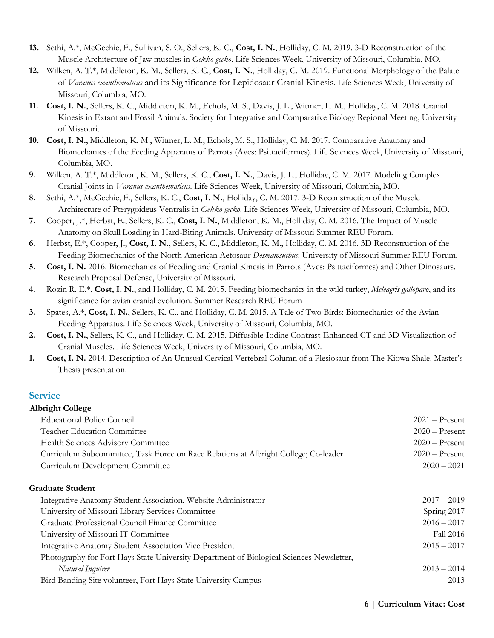- **13.** Sethi, A.\*, McGechie, F., Sullivan, S. O., Sellers, K. C., **Cost, I. N.**, Holliday, C. M. 2019. 3-D Reconstruction of the Muscle Architecture of Jaw muscles in *Gekko gecko*. Life Sciences Week, University of Missouri, Columbia, MO.
- **12.** Wilken, A. T.\*, Middleton, K. M., Sellers, K. C., **Cost, I. N.**, Holliday, C. M. 2019. Functional Morphology of the Palate of *Varanus exanthematicus* and its Significance for Lepidosaur Cranial Kinesis. Life Sciences Week, University of Missouri, Columbia, MO.
- **11. Cost, I. N.**, Sellers, K. C., Middleton, K. M., Echols, M. S., Davis, J. L., Witmer, L. M., Holliday, C. M. 2018. Cranial Kinesis in Extant and Fossil Animals. Society for Integrative and Comparative Biology Regional Meeting, University of Missouri.
- **10. Cost, I. N.**, Middleton, K. M., Witmer, L. M., Echols, M. S., Holliday, C. M. 2017. Comparative Anatomy and Biomechanics of the Feeding Apparatus of Parrots (Aves: Psittaciformes). Life Sciences Week, University of Missouri, Columbia, MO.
- **9.** Wilken, A. T.\*, Middleton, K. M., Sellers, K. C., **Cost, I. N.**, Davis, J. L., Holliday, C. M. 2017. Modeling Complex Cranial Joints in *Varanus exanthematicus*. Life Sciences Week, University of Missouri, Columbia, MO.
- **8.** Sethi, A.\*, McGechie, F., Sellers, K. C., **Cost, I. N.**, Holliday, C. M. 2017. 3-D Reconstruction of the Muscle Architecture of Pterygoideus Ventralis in *Gekko gecko*. Life Sciences Week, University of Missouri, Columbia, MO.
- **7.** Cooper, J.\*, Herbst, E., Sellers, K. C., **Cost, I. N.**, Middleton, K. M., Holliday, C. M. 2016. The Impact of Muscle Anatomy on Skull Loading in Hard-Biting Animals. University of Missouri Summer REU Forum.
- **6.** Herbst, E.\*, Cooper, J., **Cost, I. N.**, Sellers, K. C., Middleton, K. M., Holliday, C. M. 2016. 3D Reconstruction of the Feeding Biomechanics of the North American Aetosaur *Desmatosuchus*. University of Missouri Summer REU Forum.
- **5. Cost, I. N.** 2016. Biomechanics of Feeding and Cranial Kinesis in Parrots (Aves: Psittaciformes) and Other Dinosaurs. Research Proposal Defense, University of Missouri.
- **4.** Rozin R. E.\*, **Cost, I. N.**, and Holliday, C. M. 2015. Feeding biomechanics in the wild turkey, *Meleagris gallopavo*, and its significance for avian cranial evolution. Summer Research REU Forum
- **3.** Spates, A.\*, **Cost, I. N.**, Sellers, K. C., and Holliday, C. M. 2015. A Tale of Two Birds: Biomechanics of the Avian Feeding Apparatus. Life Sciences Week, University of Missouri, Columbia, MO.
- **2. Cost, I. N.**, Sellers, K. C., and Holliday, C. M. 2015. Diffusible-Iodine Contrast-Enhanced CT and 3D Visualization of Cranial Muscles. Life Sciences Week, University of Missouri, Columbia, MO.
- **1. Cost, I. N.** 2014. Description of An Unusual Cervical Vertebral Column of a Plesiosaur from The Kiowa Shale. Master's Thesis presentation.

# **Service**

#### **Albright College**

| <b>Educational Policy Council</b>                                                    | $2021 -$ Present |
|--------------------------------------------------------------------------------------|------------------|
| <b>Teacher Education Committee</b>                                                   | $2020 -$ Present |
| Health Sciences Advisory Committee                                                   | $2020 -$ Present |
| Curriculum Subcommittee, Task Force on Race Relations at Albright College; Co-leader | $2020 -$ Present |
| Curriculum Development Committee                                                     | $2020 - 2021$    |
| Graduate Student                                                                     |                  |
| Integrative Anatomy Student Association, Website Administrator                       | $2017 - 2019$    |
| University of Missouri Library Services Committee                                    | Spring 2017      |
| $\alpha$ in $\alpha$ in the state $\alpha$ in                                        | $\sqrt{2}$       |

| Graduate Professional Council Finance Committee                                          | $2016 - 2017$    |
|------------------------------------------------------------------------------------------|------------------|
| University of Missouri IT Committee                                                      | <b>Fall 2016</b> |
| Integrative Anatomy Student Association Vice President                                   | $2015 - 2017$    |
| Photography for Fort Hays State University Department of Biological Sciences Newsletter, |                  |
| Natural Inquirer                                                                         | $2013 - 2014$    |
| Bird Banding Site volunteer, Fort Hays State University Campus                           | 2013             |